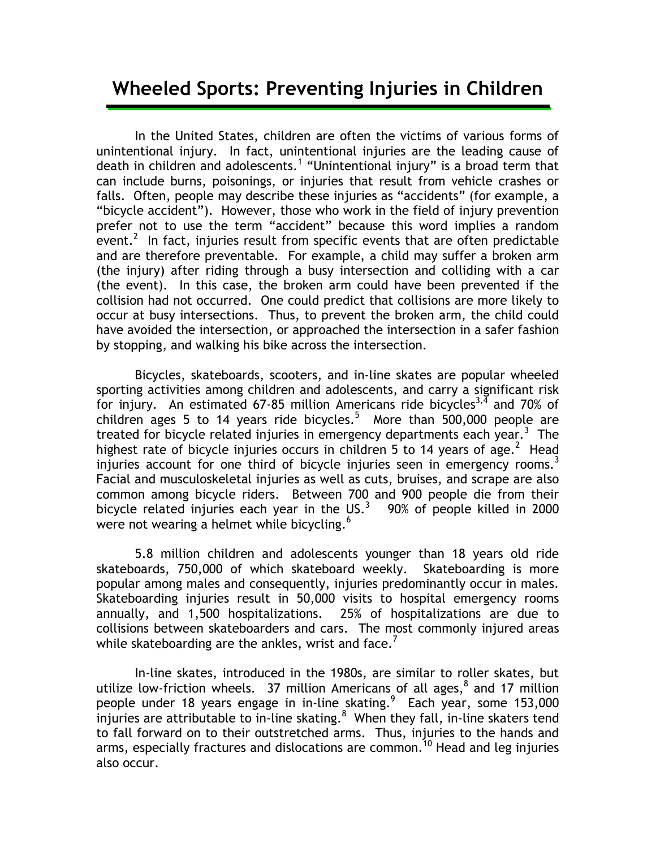## **Wheeled Sports: Preventing Injuries in Children**

In the United States, children are often the victims of various forms of unintentional injury. In fact, unintentional injuries are the leading cause of death in children and adolescents.<sup>1</sup> "Unintentional injury" is a broad term that can include burns, poisonings, or injuries that result from vehicle crashes or falls. Often, people may describe these injuries as "accidents" (for example, a "bicycle accident"). However, those who work in the field of injury prevention prefer not to use the term "accident" because this word implies a random event.<sup>2</sup> In fact, injuries result from specific events that are often predictable and are therefore preventable. For example, a child may suffer a broken arm (the injury) after riding through a busy intersection and colliding with a car (the event). In this case, the broken arm could have been prevented if the collision had not occurred. One could predict that collisions are more likely to occur at busy intersections. Thus, to prevent the broken arm, the child could have avoided the intersection, or approached the intersection in a safer fashion by stopping, and walking his bike across the intersection.

Bicycles, skateboards, scooters, and in-line skates are popular wheeled sporting activities among children and adolescents, and carry a significant risk for injury. An estimated 67-85 million Americans ride bicycles<sup>3,4</sup> and 70% of children ages 5 to 14 years ride bicycles.<sup>5</sup> More than 500,000 people are treated for bicycle related injuries in emergency departments each year.<sup>3</sup> The highest rate of bicycle injuries occurs in children 5 to 14 years of age.<sup>2</sup> Head injuries account for one third of bicycle injuries seen in emergency rooms.<sup>3</sup> Facial and musculoskeletal injuries as well as cuts, bruises, and scrape are also common among bicycle riders. Between 700 and 900 people die from their bicycle related injuries each year in the US.<sup>3</sup> 90% of people killed in 2000 were not wearing a helmet while bicycling.<sup>6</sup>

5.8 million children and adolescents younger than 18 years old ride skateboards, 750,000 of which skateboard weekly. Skateboarding is more popular among males and consequently, injuries predominantly occur in males. Skateboarding injuries result in 50,000 visits to hospital emergency rooms annually, and 1,500 hospitalizations. 25% of hospitalizations are due to collisions between skateboarders and cars. The most commonly injured areas while skateboarding are the ankles, wrist and face. $'$ 

In-line skates, introduced in the 1980s, are similar to roller skates, but utilize low-friction wheels. 37 million Americans of all ages, $^8$  and 17 million people under 18 years engage in in-line skating.<sup>9</sup> Each year, some 153,000 injuries are attributable to in-line skating. $8$  When they fall, in-line skaters tend to fall forward on to their outstretched arms. Thus, injuries to the hands and arms, especially fractures and dislocations are common.<sup>10</sup> Head and leg injuries also occur.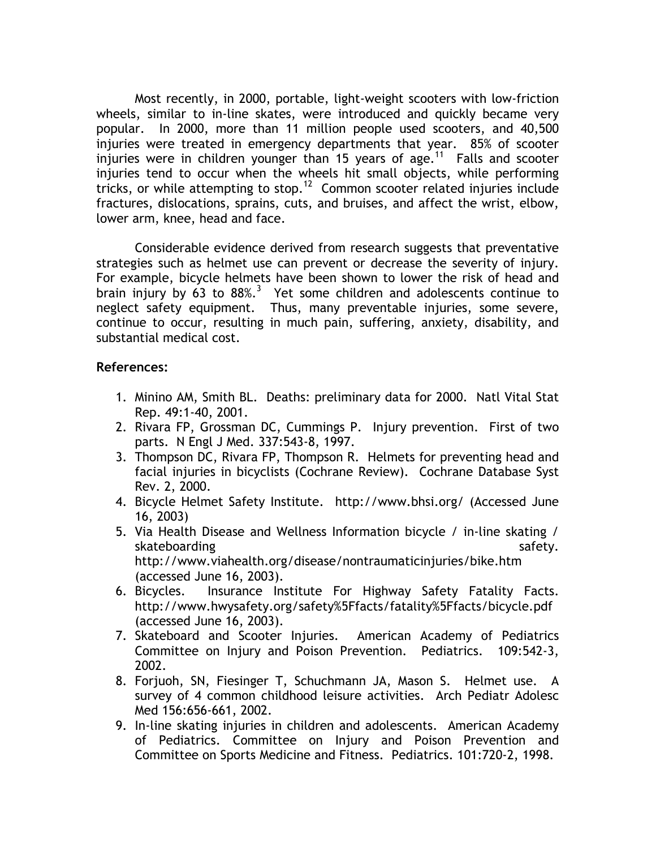Most recently, in 2000, portable, light-weight scooters with low-friction wheels, similar to in-line skates, were introduced and quickly became very popular. In 2000, more than 11 million people used scooters, and 40,500 injuries were treated in emergency departments that year. 85% of scooter injuries were in children younger than 15 years of age.<sup>11</sup> Falls and scooter injuries tend to occur when the wheels hit small objects, while performing tricks, or while attempting to stop.<sup>12</sup> Common scooter related injuries include fractures, dislocations, sprains, cuts, and bruises, and affect the wrist, elbow, lower arm, knee, head and face.

Considerable evidence derived from research suggests that preventative strategies such as helmet use can prevent or decrease the severity of injury. For example, bicycle helmets have been shown to lower the risk of head and brain injury by 63 to  $88\%$ .<sup>3</sup> Yet some children and adolescents continue to neglect safety equipment. Thus, many preventable injuries, some severe, continue to occur, resulting in much pain, suffering, anxiety, disability, and substantial medical cost.

## **References:**

- 1. Minino AM, Smith BL. Deaths: preliminary data for 2000. Natl Vital Stat Rep. 49:1-40, 2001.
- 2. Rivara FP, Grossman DC, Cummings P. Injury prevention. First of two parts. N Engl J Med. 337:543-8, 1997.
- 3. Thompson DC, Rivara FP, Thompson R. Helmets for preventing head and facial injuries in bicyclists (Cochrane Review). Cochrane Database Syst Rev. 2, 2000.
- 4. Bicycle Helmet Safety Institute. http://www.bhsi.org/ (Accessed June 16, 2003)
- 5. Via Health Disease and Wellness Information bicycle / in-line skating / skateboarding safety. The same safety safety safety safety. http://www.viahealth.org/disease/nontraumaticinjuries/bike.htm (accessed June 16, 2003).
- 6. Bicycles. Insurance Institute For Highway Safety Fatality Facts. http://www.hwysafety.org/safety%5Ffacts/fatality%5Ffacts/bicycle.pdf (accessed June 16, 2003).
- 7. Skateboard and Scooter Injuries. American Academy of Pediatrics Committee on Injury and Poison Prevention. Pediatrics. 109:542-3, 2002.
- 8. Forjuoh, SN, Fiesinger T, Schuchmann JA, Mason S. Helmet use. A survey of 4 common childhood leisure activities. Arch Pediatr Adolesc Med 156:656-661, 2002.
- 9. In-line skating injuries in children and adolescents. American Academy of Pediatrics. Committee on Injury and Poison Prevention and Committee on Sports Medicine and Fitness. Pediatrics. 101:720-2, 1998.